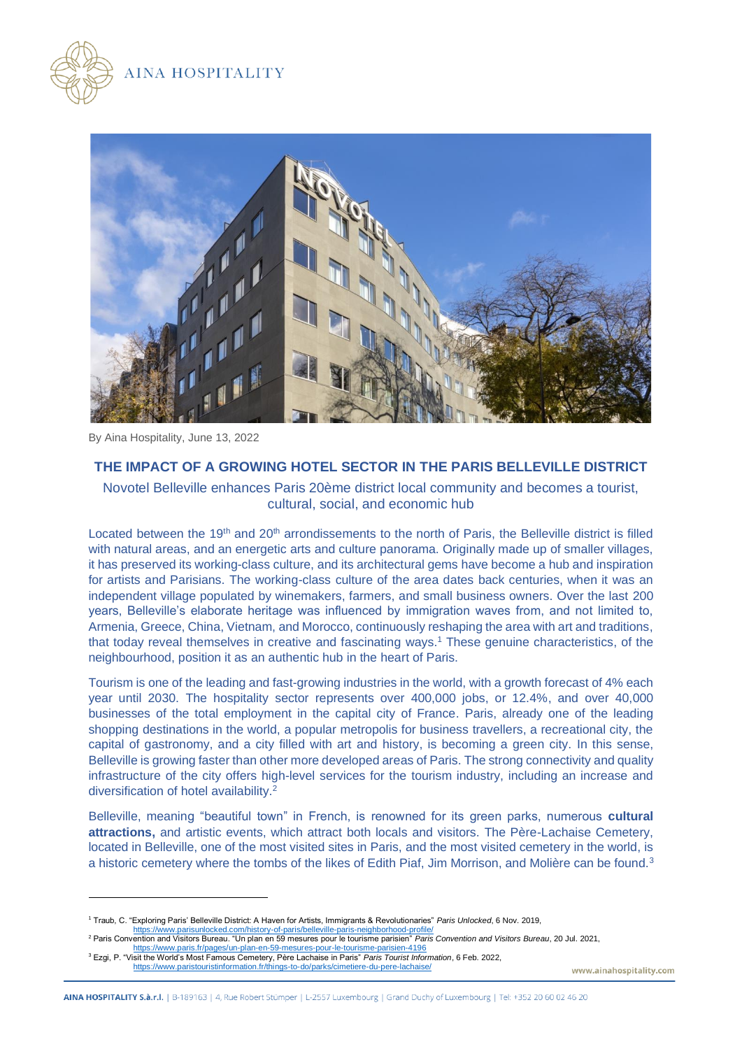



By Aina Hospitality, June 13, 2022

## **THE IMPACT OF A GROWING HOTEL SECTOR IN THE PARIS BELLEVILLE DISTRICT**

## Novotel Belleville enhances Paris 20ème district local community and becomes a tourist, cultural, social, and economic hub

Located between the 19<sup>th</sup> and 20<sup>th</sup> arrondissements to the north of Paris, the Belleville district is filled with natural areas, and an energetic arts and culture panorama. Originally made up of smaller villages, it has preserved its working-class culture, and its architectural gems have become a hub and inspiration for artists and Parisians. The working-class culture of the area dates back centuries, when it was an independent village populated by winemakers, farmers, and small business owners. Over the last 200 years, Belleville's elaborate heritage was influenced by immigration waves from, and not limited to, Armenia, Greece, China, Vietnam, and Morocco, continuously reshaping the area with art and traditions, that today reveal themselves in creative and fascinating ways.<sup>1</sup> These genuine characteristics, of the neighbourhood, position it as an authentic hub in the heart of Paris.

Tourism is one of the leading and fast-growing industries in the world, with a growth forecast of 4% each year until 2030. The hospitality sector represents over 400,000 jobs, or 12.4%, and over 40,000 businesses of the total employment in the capital city of France. Paris, already one of the leading shopping destinations in the world, a popular metropolis for business travellers, a recreational city, the capital of gastronomy, and a city filled with art and history, is becoming a green city. In this sense, Belleville is growing faster than other more developed areas of Paris. The strong connectivity and quality infrastructure of the city offers high-level services for the tourism industry, including an increase and diversification of hotel availability.<sup>2</sup>

Belleville, meaning "beautiful town" in French, is renowned for its green parks, numerous **cultural attractions,** and artistic events, which attract both locals and visitors. The Père-Lachaise Cemetery, located in Belleville, one of the most visited sites in Paris, and the most visited cemetery in the world, is a historic cemetery where the tombs of the likes of Edith Piaf, Jim Morrison, and Molière can be found.<sup>3</sup>

<sup>1</sup> Traub, C. "Exploring Paris' Belleville District: A Haven for Artists, Immigrants & Revolutionaries" *Paris Unlocked*, 6 Nov. 2019, <https://www.parisunlocked.com/history-of-paris/belleville-paris-neighborhood-profile/>

<sup>2</sup> Paris Convention and Visitors Bureau. "Un plan en 59 mesures pour le tourisme parisien" *Paris Convention and Visitors Bureau*, 20 Jul. 2021, <https://www.paris.fr/pages/un-plan-en-59-mesures-pour-le-tourisme-parisien-4196>

<sup>3</sup> Ezgi, P. "Visit the World's Most Famous Cemetery, Père Lachaise in Paris" *Paris Tourist Information*, 6 Feb. 2022, <https://www.paristouristinformation.fr/things-to-do/parks/cimetiere-du-pere-lachaise/>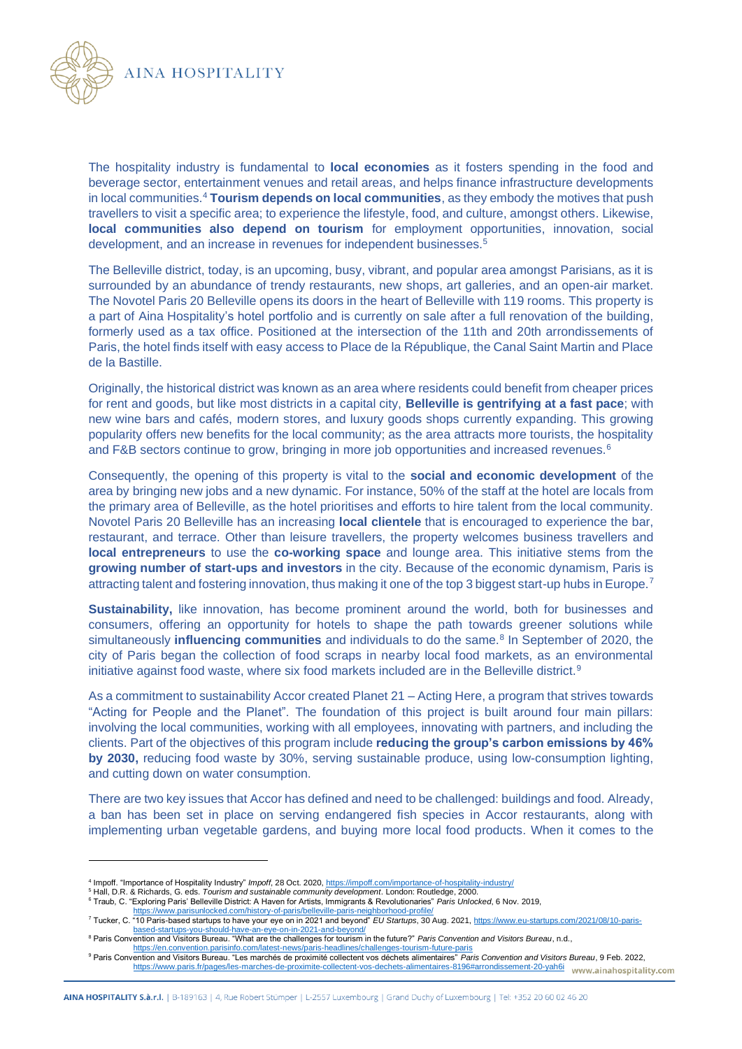

The hospitality industry is fundamental to **local economies** as it fosters spending in the food and beverage sector, entertainment venues and retail areas, and helps finance infrastructure developments in local communities.<sup>4</sup> **Tourism depends on local communities**, as they embody the motives that push travellers to visit a specific area; to experience the lifestyle, food, and culture, amongst others. Likewise, **local communities also depend on tourism** for employment opportunities, innovation, social development, and an increase in revenues for independent businesses.<sup>5</sup>

The Belleville district, today, is an upcoming, busy, vibrant, and popular area amongst Parisians, as it is surrounded by an abundance of trendy restaurants, new shops, art galleries, and an open-air market. The Novotel Paris 20 Belleville opens its doors in the heart of Belleville with 119 rooms. This property is a part of Aina Hospitality's hotel portfolio and is currently on sale after a full renovation of the building, formerly used as a tax office. Positioned at the intersection of the 11th and 20th arrondissements of Paris, the hotel finds itself with easy access to Place de la République, the Canal Saint Martin and Place de la Bastille.

Originally, the historical district was known as an area where residents could benefit from cheaper prices for rent and goods, but like most districts in a capital city, **Belleville is gentrifying at a fast pace**; with new wine bars and cafés, modern stores, and luxury goods shops currently expanding. This growing popularity offers new benefits for the local community; as the area attracts more tourists, the hospitality and F&B sectors continue to grow, bringing in more job opportunities and increased revenues.<sup>6</sup>

Consequently, the opening of this property is vital to the **social and economic development** of the area by bringing new jobs and a new dynamic. For instance, 50% of the staff at the hotel are locals from the primary area of Belleville, as the hotel prioritises and efforts to hire talent from the local community. Novotel Paris 20 Belleville has an increasing **local clientele** that is encouraged to experience the bar, restaurant, and terrace. Other than leisure travellers, the property welcomes business travellers and **local entrepreneurs** to use the **co-working space** and lounge area. This initiative stems from the **growing number of start-ups and investors** in the city. Because of the economic dynamism, Paris is attracting talent and fostering innovation, thus making it one of the top 3 biggest start-up hubs in Europe.<sup>7</sup>

**Sustainability,** like innovation, has become prominent around the world, both for businesses and consumers, offering an opportunity for hotels to shape the path towards greener solutions while simultaneously **influencing communities** and individuals to do the same.<sup>8</sup> In September of 2020, the city of Paris began the collection of food scraps in nearby local food markets, as an environmental initiative against food waste, where six food markets included are in the Belleville district.<sup>9</sup>

As a commitment to sustainability Accor created Planet 21 – Acting Here, a program that strives towards "Acting for People and the Planet". The foundation of this project is built around four main pillars: involving the local communities, working with all employees, innovating with partners, and including the clients. Part of the objectives of this program include **reducing the group's carbon emissions by 46% by 2030,** reducing food waste by 30%, serving sustainable produce, using low-consumption lighting, and cutting down on water consumption.

There are two key issues that Accor has defined and need to be challenged: buildings and food. Already, a ban has been set in place on serving endangered fish species in Accor restaurants, along with implementing urban vegetable gardens, and buying more local food products. When it comes to the

<sup>4</sup> Impoff. "Importance of Hospitality Industry" *Impoff*, 28 Oct. 2020[, https://impoff.com/importance-of-hospitality-industry/](https://impoff.com/importance-of-hospitality-industry/)

<sup>5</sup> Hall, D.R. & Richards, G. eds. *Tourism and sustainable community development*. London: Routledge, 2000.

<sup>6</sup> Traub, C. "Exploring Paris' Belleville District: A Haven for Artists, Immigrants & Revolutionaries" *Paris Unlocked*, 6 Nov. 2019,

<https://www.parisunlocked.com/history-of-paris/belleville-paris-neighborhood-profile/><br>Tucker, C. "10 Paris-based startups to have your eye on in 2021 and beyond" *EU Startups*, 30 Aug. 2021, <u>https://www.eu-startups.com/20</u> [based-startups-you-should-have-an-eye-on-in-2021-and-beyond/](https://www.eu-startups.com/2021/08/10-paris-based-startups-you-should-have-an-eye-on-in-2021-and-beyond/)

<sup>8</sup> Paris Convention and Visitors Bureau. "What are the challenges for tourism in the future?" *Paris Convention and Visitors Bureau*, n.d.,

<https://en.convention.parisinfo.com/latest-news/paris-headlines/challenges-tourism-future-paris><br>Paris Convention and Visitors Bureau. "Les marchés de proximité collectent vos déchets alimentaires" *Paris Convention and Vis* <https://www.paris.fr/pages/les-marches-de-proximite-collectent-vos-dechets-alimentaires-8196#arrondissement-20-yah6i> www.ainahospitality.com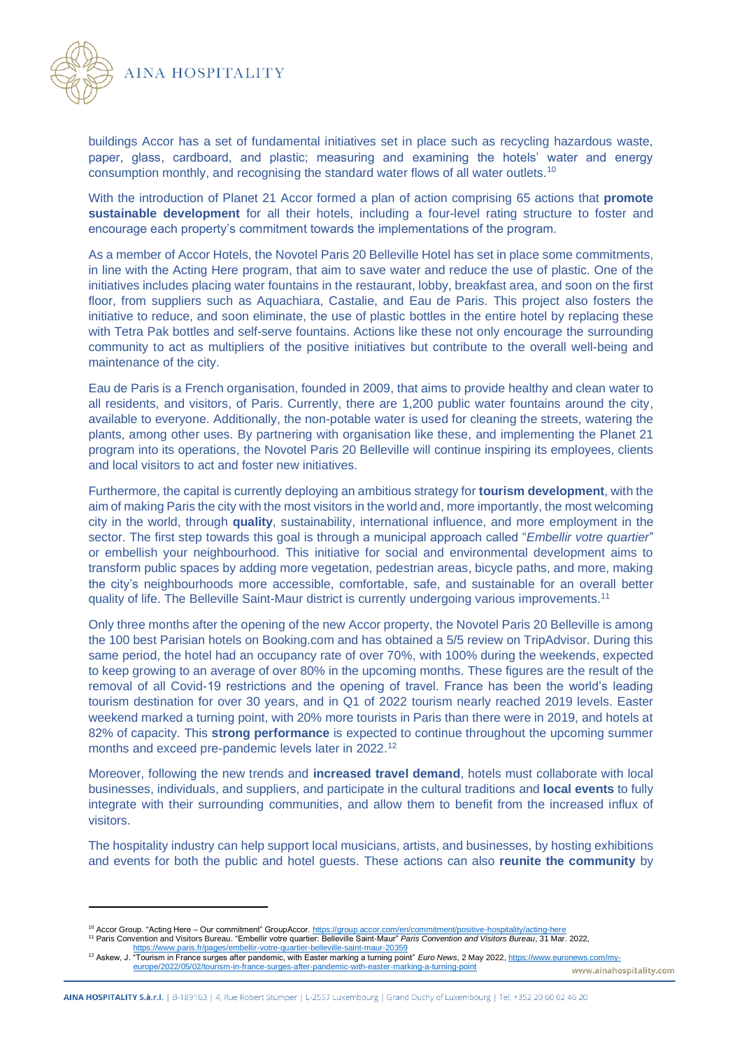



buildings Accor has a set of fundamental initiatives set in place such as recycling hazardous waste, paper, glass, cardboard, and plastic; measuring and examining the hotels' water and energy consumption monthly, and recognising the standard water flows of all water outlets.<sup>10</sup>

With the introduction of Planet 21 Accor formed a plan of action comprising 65 actions that **promote sustainable development** for all their hotels, including a four-level rating structure to foster and encourage each property's commitment towards the implementations of the program.

As a member of Accor Hotels, the Novotel Paris 20 Belleville Hotel has set in place some commitments, in line with the Acting Here program, that aim to save water and reduce the use of plastic. One of the initiatives includes placing water fountains in the restaurant, lobby, breakfast area, and soon on the first floor, from suppliers such as Aquachiara, Castalie, and Eau de Paris. This project also fosters the initiative to reduce, and soon eliminate, the use of plastic bottles in the entire hotel by replacing these with Tetra Pak bottles and self-serve fountains. Actions like these not only encourage the surrounding community to act as multipliers of the positive initiatives but contribute to the overall well-being and maintenance of the city.

Eau de Paris is a French organisation, founded in 2009, that aims to provide healthy and clean water to all residents, and visitors, of Paris. Currently, there are 1,200 public water fountains around the city, available to everyone. Additionally, the non-potable water is used for cleaning the streets, watering the plants, among other uses. By partnering with organisation like these, and implementing the Planet 21 program into its operations, the Novotel Paris 20 Belleville will continue inspiring its employees, clients and local visitors to act and foster new initiatives.

Furthermore, the capital is currently deploying an ambitious strategy for **tourism development**, with the aim of making Paris the city with the most visitors in the world and, more importantly, the most welcoming city in the world, through **quality**, sustainability, international influence, and more employment in the sector. The first step towards this goal is through a municipal approach called "*Embellir votre quartier*" or embellish your neighbourhood. This initiative for social and environmental development aims to transform public spaces by adding more vegetation, pedestrian areas, bicycle paths, and more, making the city's neighbourhoods more accessible, comfortable, safe, and sustainable for an overall better quality of life. The Belleville Saint-Maur district is currently undergoing various improvements.<sup>11</sup>

Only three months after the opening of the new Accor property, the Novotel Paris 20 Belleville is among the 100 best Parisian hotels on Booking.com and has obtained a 5/5 review on TripAdvisor. During this same period, the hotel had an occupancy rate of over 70%, with 100% during the weekends, expected to keep growing to an average of over 80% in the upcoming months. These figures are the result of the removal of all Covid-19 restrictions and the opening of travel. France has been the world's leading tourism destination for over 30 years, and in Q1 of 2022 tourism nearly reached 2019 levels. Easter weekend marked a turning point, with 20% more tourists in Paris than there were in 2019, and hotels at 82% of capacity. This **strong performance** is expected to continue throughout the upcoming summer months and exceed pre-pandemic levels later in 2022.<sup>12</sup>

Moreover, following the new trends and **increased travel demand**, hotels must collaborate with local businesses, individuals, and suppliers, and participate in the cultural traditions and **local events** to fully integrate with their surrounding communities, and allow them to benefit from the increased influx of visitors.

The hospitality industry can help support local musicians, artists, and businesses, by hosting exhibitions and events for both the public and hotel guests. These actions can also **reunite the community** by

<sup>&</sup>lt;sup>10</sup> Accor Group. "Acting Here – Our commitment" GroupAccor. <u>https://group.accor.com/en/commitment/positive-hospitality/acting-here</u><br><sup>11</sup> Paris Convention and Visitors Bureau. "Embellir votre quartier: Belleville Saint-Ma

<https://www.paris.fr/pages/embellir-votre-quartier-belleville-saint-maur-20359><br><sup>12</sup> Askew, J. "Tourism in France surges after pandemic, with Easter marking a turning point" *Euro News*, 2 May 2022, <u>https://www.euronews.co</u> [europe/2022/05/02/tourism-in-france-surges-after-pandemic-with-easter-marking-a-turning-point](https://www.euronews.com/my-europe/2022/05/02/tourism-in-france-surges-after-pandemic-with-easter-marking-a-turning-point)www.ainahospitality.com